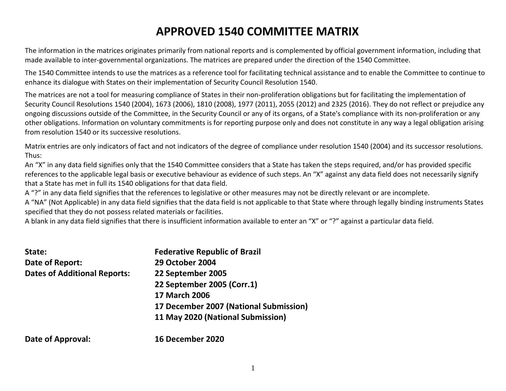# **APPROVED 1540 COMMITTEE MATRIX**

The information in the matrices originates primarily from national reports and is complemented by official government information, including that made available to inter-governmental organizations. The matrices are prepared under the direction of the 1540 Committee.

The 1540 Committee intends to use the matrices as a reference tool for facilitating technical assistance and to enable the Committee to continue to enhance its dialogue with States on their implementation of Security Council Resolution 1540.

The matrices are not a tool for measuring compliance of States in their non-proliferation obligations but for facilitating the implementation of Security Council Resolutions 1540 (2004), 1673 (2006), 1810 (2008), 1977 (2011), 2055 (2012) and 2325 (2016). They do not reflect or prejudice any ongoing discussions outside of the Committee, in the Security Council or any of its organs, of a State's compliance with its non-proliferation or any other obligations. Information on voluntary commitments is for reporting purpose only and does not constitute in any way a legal obligation arising from resolution 1540 or its successive resolutions.

Matrix entries are only indicators of fact and not indicators of the degree of compliance under resolution 1540 (2004) and its successor resolutions. Thus:

An "X" in any data field signifies only that the 1540 Committee considers that a State has taken the steps required, and/or has provided specific references to the applicable legal basis or executive behaviour as evidence of such steps. An "X" against any data field does not necessarily signify that a State has met in full its 1540 obligations for that data field.

A "?" in any data field signifies that the references to legislative or other measures may not be directly relevant or are incomplete.

A "NA" (Not Applicable) in any data field signifies that the data field is not applicable to that State where through legally binding instruments States specified that they do not possess related materials or facilities.

A blank in any data field signifies that there is insufficient information available to enter an "X" or "?" against a particular data field.

| State:                              | <b>Federative Republic of Brazil</b>   |
|-------------------------------------|----------------------------------------|
| Date of Report:                     | <b>29 October 2004</b>                 |
| <b>Dates of Additional Reports:</b> | 22 September 2005                      |
|                                     | 22 September 2005 (Corr.1)             |
|                                     | <b>17 March 2006</b>                   |
|                                     | 17 December 2007 (National Submission) |
|                                     | 11 May 2020 (National Submission)      |
| Date of Approval:                   | <b>16 December 2020</b>                |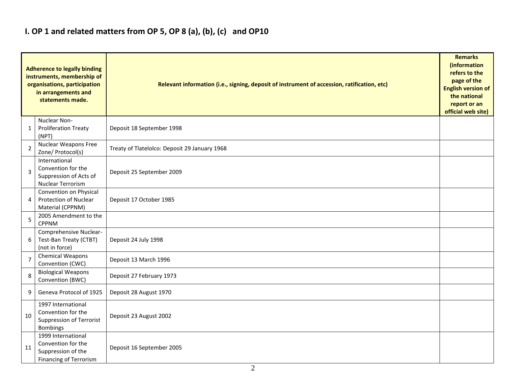## **I. OP 1 and related matters from OP 5, OP 8 (a), (b), (c) and OP10**

|                | <b>Adherence to legally binding</b><br>instruments, membership of<br>organisations, participation<br>in arrangements and<br>statements made. | Relevant information (i.e., signing, deposit of instrument of accession, ratification, etc)<br><b>English version of</b><br>official web site) |  |  |  |  |  |  |  |
|----------------|----------------------------------------------------------------------------------------------------------------------------------------------|------------------------------------------------------------------------------------------------------------------------------------------------|--|--|--|--|--|--|--|
| 1              | Nuclear Non-<br><b>Proliferation Treaty</b><br>(NPT)                                                                                         | Deposit 18 September 1998                                                                                                                      |  |  |  |  |  |  |  |
| $\overline{2}$ | <b>Nuclear Weapons Free</b><br>Zone/ Protocol(s)                                                                                             | Treaty of Tlatelolco: Deposit 29 January 1968                                                                                                  |  |  |  |  |  |  |  |
| 3              | International<br>Convention for the<br>Suppression of Acts of<br>Nuclear Terrorism                                                           | Deposit 25 September 2009                                                                                                                      |  |  |  |  |  |  |  |
| 4              | Convention on Physical<br><b>Protection of Nuclear</b><br>Material (CPPNM)                                                                   | Deposit 17 October 1985                                                                                                                        |  |  |  |  |  |  |  |
| 5              | 2005 Amendment to the<br><b>CPPNM</b>                                                                                                        |                                                                                                                                                |  |  |  |  |  |  |  |
| 6              | Comprehensive Nuclear-<br>Test-Ban Treaty (CTBT)<br>(not in force)                                                                           | Deposit 24 July 1998                                                                                                                           |  |  |  |  |  |  |  |
| $\overline{7}$ | <b>Chemical Weapons</b><br>Convention (CWC)                                                                                                  | Deposit 13 March 1996                                                                                                                          |  |  |  |  |  |  |  |
| 8              | <b>Biological Weapons</b><br>Convention (BWC)                                                                                                | Deposit 27 February 1973                                                                                                                       |  |  |  |  |  |  |  |
| 9              | Geneva Protocol of 1925                                                                                                                      | Deposit 28 August 1970                                                                                                                         |  |  |  |  |  |  |  |
| 10             | 1997 International<br>Convention for the<br><b>Suppression of Terrorist</b><br><b>Bombings</b>                                               | Deposit 23 August 2002                                                                                                                         |  |  |  |  |  |  |  |
| 11             | 1999 International<br>Convention for the<br>Suppression of the<br><b>Financing of Terrorism</b>                                              | Deposit 16 September 2005                                                                                                                      |  |  |  |  |  |  |  |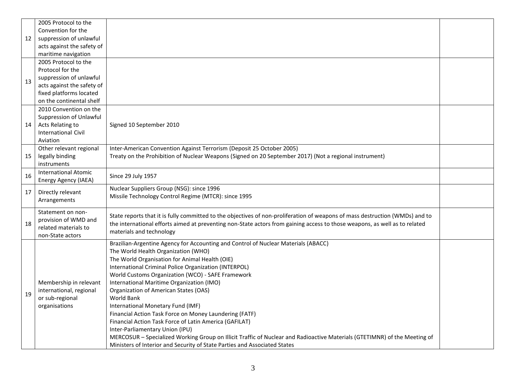|    | 2005 Protocol to the        |                                                                                                                              |  |
|----|-----------------------------|------------------------------------------------------------------------------------------------------------------------------|--|
|    | Convention for the          |                                                                                                                              |  |
| 12 | suppression of unlawful     |                                                                                                                              |  |
|    | acts against the safety of  |                                                                                                                              |  |
|    | maritime navigation         |                                                                                                                              |  |
|    | 2005 Protocol to the        |                                                                                                                              |  |
|    | Protocol for the            |                                                                                                                              |  |
| 13 | suppression of unlawful     |                                                                                                                              |  |
|    | acts against the safety of  |                                                                                                                              |  |
|    | fixed platforms located     |                                                                                                                              |  |
|    | on the continental shelf    |                                                                                                                              |  |
|    | 2010 Convention on the      |                                                                                                                              |  |
|    | Suppression of Unlawful     |                                                                                                                              |  |
| 14 | Acts Relating to            | Signed 10 September 2010                                                                                                     |  |
|    | International Civil         |                                                                                                                              |  |
|    | Aviation                    |                                                                                                                              |  |
|    | Other relevant regional     | Inter-American Convention Against Terrorism (Deposit 25 October 2005)                                                        |  |
| 15 | legally binding             | Treaty on the Prohibition of Nuclear Weapons (Signed on 20 September 2017) (Not a regional instrument)                       |  |
|    | instruments                 |                                                                                                                              |  |
| 16 | <b>International Atomic</b> | Since 29 July 1957                                                                                                           |  |
|    | Energy Agency (IAEA)        |                                                                                                                              |  |
| 17 | Directly relevant           | Nuclear Suppliers Group (NSG): since 1996                                                                                    |  |
|    | Arrangements                | Missile Technology Control Regime (MTCR): since 1995                                                                         |  |
|    |                             |                                                                                                                              |  |
|    | Statement on non-           | State reports that it is fully committed to the objectives of non-proliferation of weapons of mass destruction (WMDs) and to |  |
| 18 | provision of WMD and        | the international efforts aimed at preventing non-State actors from gaining access to those weapons, as well as to related   |  |
|    | related materials to        | materials and technology                                                                                                     |  |
|    | non-State actors            |                                                                                                                              |  |
|    |                             | Brazilian-Argentine Agency for Accounting and Control of Nuclear Materials (ABACC)                                           |  |
|    |                             | The World Health Organization (WHO)                                                                                          |  |
|    |                             | The World Organisation for Animal Health (OIE)                                                                               |  |
|    |                             | International Criminal Police Organization (INTERPOL)                                                                        |  |
|    |                             | World Customs Organization (WCO) - SAFE Framework                                                                            |  |
|    | Membership in relevant      | International Maritime Organization (IMO)                                                                                    |  |
| 19 | international, regional     | Organization of American States (OAS)                                                                                        |  |
|    | or sub-regional             | World Bank                                                                                                                   |  |
|    | organisations               | International Monetary Fund (IMF)                                                                                            |  |
|    |                             | Financial Action Task Force on Money Laundering (FATF)                                                                       |  |
|    |                             | Financial Action Task Force of Latin America (GAFILAT)                                                                       |  |
|    |                             | Inter-Parliamentary Union (IPU)                                                                                              |  |
|    |                             | MERCOSUR - Specialized Working Group on Illicit Traffic of Nuclear and Radioactive Materials (GTETIMNR) of the Meeting of    |  |
|    |                             | Ministers of Interior and Security of State Parties and Associated States                                                    |  |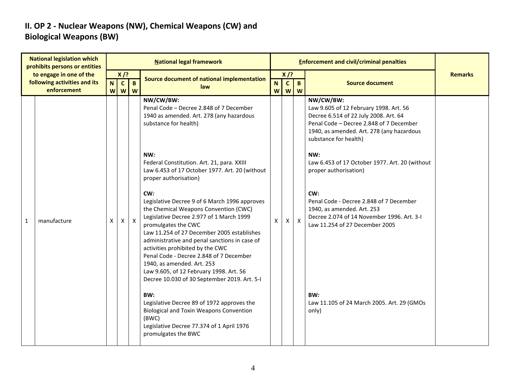### **II. OP 2 - Nuclear Weapons (NW), Chemical Weapons (CW) and Biological Weapons (BW)**

| <b>National legislation which</b><br>prohibits persons or entities<br>to engage in one of the |             |    |              |                       | <b>National legal framework</b>                                                                                                                                                                                                                                                                                                                                                                                                                                         |                     |                   | <b>Enforcement and civil/criminal penalties</b> |                                                                                                                                                                                                               |                |
|-----------------------------------------------------------------------------------------------|-------------|----|--------------|-----------------------|-------------------------------------------------------------------------------------------------------------------------------------------------------------------------------------------------------------------------------------------------------------------------------------------------------------------------------------------------------------------------------------------------------------------------------------------------------------------------|---------------------|-------------------|-------------------------------------------------|---------------------------------------------------------------------------------------------------------------------------------------------------------------------------------------------------------------|----------------|
|                                                                                               |             | N. | $X$ /?       |                       | Source document of national implementation                                                                                                                                                                                                                                                                                                                                                                                                                              | $X$ /?              |                   |                                                 |                                                                                                                                                                                                               | <b>Remarks</b> |
| following activities and its<br>enforcement                                                   |             |    | $\mathbf{C}$ | $\mathbf{B}$<br>w w w | law                                                                                                                                                                                                                                                                                                                                                                                                                                                                     | N <sub>1</sub><br>W | $\mathbf{C}$<br>W | $\mathbf{B}$<br>W                               | <b>Source document</b>                                                                                                                                                                                        |                |
|                                                                                               |             |    |              |                       | NW/CW/BW:<br>Penal Code - Decree 2.848 of 7 December<br>1940 as amended. Art. 278 (any hazardous<br>substance for health)                                                                                                                                                                                                                                                                                                                                               |                     |                   |                                                 | NW/CW/BW:<br>Law 9.605 of 12 February 1998. Art. 56<br>Decree 6.514 of 22 July 2008. Art. 64<br>Penal Code - Decree 2.848 of 7 December<br>1940, as amended. Art. 278 (any hazardous<br>substance for health) |                |
|                                                                                               |             |    |              |                       | NW:<br>Federal Constitution. Art. 21, para. XXIII<br>Law 6.453 of 17 October 1977. Art. 20 (without<br>proper authorisation)                                                                                                                                                                                                                                                                                                                                            |                     |                   |                                                 | NW:<br>Law 6.453 of 17 October 1977. Art. 20 (without<br>proper authorisation)                                                                                                                                |                |
| 1                                                                                             | manufacture | X  | X            | $\mathsf{X}$          | CW:<br>Legislative Decree 9 of 6 March 1996 approves<br>the Chemical Weapons Convention (CWC)<br>Legislative Decree 2.977 of 1 March 1999<br>promulgates the CWC<br>Law 11.254 of 27 December 2005 establishes<br>administrative and penal sanctions in case of<br>activities prohibited by the CWC<br>Penal Code - Decree 2.848 of 7 December<br>1940, as amended. Art. 253<br>Law 9.605, of 12 February 1998. Art. 56<br>Decree 10.030 of 30 September 2019. Art. 5-I | X                   | $\times$          | $\mathsf{X}$                                    | CW:<br>Penal Code - Decree 2.848 of 7 December<br>1940, as amended. Art. 253<br>Decree 2.074 of 14 November 1996. Art. 3-I<br>Law 11.254 of 27 December 2005                                                  |                |
|                                                                                               |             |    |              |                       | BW:<br>Legislative Decree 89 of 1972 approves the<br><b>Biological and Toxin Weapons Convention</b><br>(BWC)<br>Legislative Decree 77.374 of 1 April 1976<br>promulgates the BWC                                                                                                                                                                                                                                                                                        |                     |                   |                                                 | BW:<br>Law 11.105 of 24 March 2005. Art. 29 (GMOs<br>only)                                                                                                                                                    |                |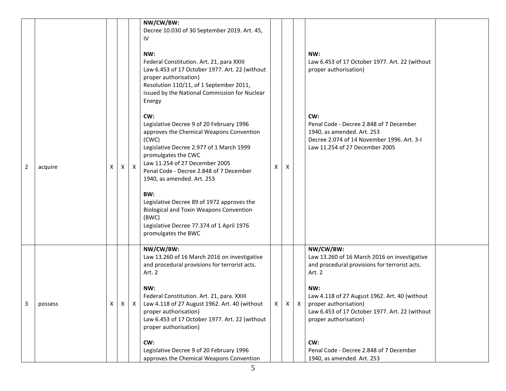|              |         |   |              |              | NW/CW/BW:<br>Decree 10.030 of 30 September 2019. Art. 45,<br>IV                                                                                                                                                                                                                           |   |             |                                                                                                                                                              |  |
|--------------|---------|---|--------------|--------------|-------------------------------------------------------------------------------------------------------------------------------------------------------------------------------------------------------------------------------------------------------------------------------------------|---|-------------|--------------------------------------------------------------------------------------------------------------------------------------------------------------|--|
|              |         |   |              |              | NW:<br>Federal Constitution. Art. 21, para XXIII<br>Law 6.453 of 17 October 1977. Art. 22 (without<br>proper authorisation)<br>Resolution 110/11, of 1 September 2011,<br>issued by the National Commission for Nuclear<br>Energy                                                         |   |             | NW:<br>Law 6.453 of 17 October 1977. Art. 22 (without<br>proper authorisation)                                                                               |  |
| 2            | acquire | Х | $\mathsf{X}$ | $\mathsf{X}$ | CW:<br>Legislative Decree 9 of 20 February 1996<br>approves the Chemical Weapons Convention<br>(CWC)<br>Legislative Decree 2.977 of 1 March 1999<br>promulgates the CWC<br>Law 11.254 of 27 December 2005<br>Penal Code - Decree 2.848 of 7 December<br>1940, as amended. Art. 253<br>BW: | X | X           | CW:<br>Penal Code - Decree 2.848 of 7 December<br>1940, as amended. Art. 253<br>Decree 2.074 of 14 November 1996. Art. 3-I<br>Law 11.254 of 27 December 2005 |  |
|              |         |   |              |              | Legislative Decree 89 of 1972 approves the<br><b>Biological and Toxin Weapons Convention</b><br>(BWC)<br>Legislative Decree 77.374 of 1 April 1976<br>promulgates the BWC                                                                                                                 |   |             |                                                                                                                                                              |  |
|              |         |   |              |              | NW/CW/BW:<br>Law 13.260 of 16 March 2016 on investigative<br>and procedural provisions for terrorist acts.<br>Art. 2                                                                                                                                                                      |   |             | NW/CW/BW:<br>Law 13.260 of 16 March 2016 on investigative<br>and procedural provisions for terrorist acts.<br>Art. 2                                         |  |
| $\mathbf{3}$ | possess | Χ | $\mathsf{X}$ | $\mathsf{X}$ | NW:<br>Federal Constitution. Art. 21, para. XXIII<br>Law 4.118 of 27 August 1962. Art. 40 (without<br>proper authorisation)<br>Law 6.453 of 17 October 1977. Art. 22 (without<br>proper authorisation)                                                                                    |   | $X$ $X$ $X$ | NW:<br>Law 4.118 of 27 August 1962. Art. 40 (without<br>proper authorisation)<br>Law 6.453 of 17 October 1977. Art. 22 (without<br>proper authorisation)     |  |
|              |         |   |              |              | CW:<br>Legislative Decree 9 of 20 February 1996<br>approves the Chemical Weapons Convention                                                                                                                                                                                               |   |             | CW:<br>Penal Code - Decree 2.848 of 7 December<br>1940, as amended. Art. 253                                                                                 |  |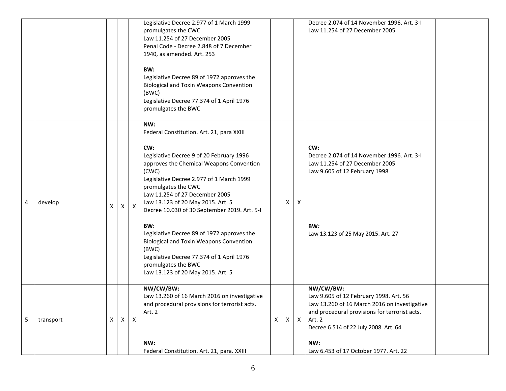|   |           |              |              |              | Legislative Decree 2.977 of 1 March 1999<br>promulgates the CWC<br>Law 11.254 of 27 December 2005<br>Penal Code - Decree 2.848 of 7 December<br>1940, as amended. Art. 253<br>BW:<br>Legislative Decree 89 of 1972 approves the<br><b>Biological and Toxin Weapons Convention</b><br>(BWC)<br>Legislative Decree 77.374 of 1 April 1976<br>promulgates the BWC                                                                                                                                                                                                              |   |   |              | Decree 2.074 of 14 November 1996. Art. 3-I<br>Law 11.254 of 27 December 2005                                                                                                                                                                            |  |
|---|-----------|--------------|--------------|--------------|-----------------------------------------------------------------------------------------------------------------------------------------------------------------------------------------------------------------------------------------------------------------------------------------------------------------------------------------------------------------------------------------------------------------------------------------------------------------------------------------------------------------------------------------------------------------------------|---|---|--------------|---------------------------------------------------------------------------------------------------------------------------------------------------------------------------------------------------------------------------------------------------------|--|
| 4 | develop   | X            | $\times$     | $\mathsf{X}$ | NW:<br>Federal Constitution. Art. 21, para XXIII<br>CW:<br>Legislative Decree 9 of 20 February 1996<br>approves the Chemical Weapons Convention<br>(CWC)<br>Legislative Decree 2.977 of 1 March 1999<br>promulgates the CWC<br>Law 11.254 of 27 December 2005<br>Law 13.123 of 20 May 2015. Art. 5<br>Decree 10.030 of 30 September 2019. Art. 5-I<br>BW:<br>Legislative Decree 89 of 1972 approves the<br><b>Biological and Toxin Weapons Convention</b><br>(BWC)<br>Legislative Decree 77.374 of 1 April 1976<br>promulgates the BWC<br>Law 13.123 of 20 May 2015. Art. 5 |   | x | $\mathsf{X}$ | CW:<br>Decree 2.074 of 14 November 1996. Art. 3-I<br>Law 11.254 of 27 December 2005<br>Law 9.605 of 12 February 1998<br>BW:<br>Law 13.123 of 25 May 2015. Art. 27                                                                                       |  |
| 5 | transport | $\mathsf{X}$ | $\mathsf{X}$ | Χ            | NW/CW/BW:<br>Law 13.260 of 16 March 2016 on investigative<br>and procedural provisions for terrorist acts.<br>Art. 2<br>NW:<br>Federal Constitution. Art. 21, para. XXIII                                                                                                                                                                                                                                                                                                                                                                                                   | Χ | X | $\mathsf{X}$ | NW/CW/BW:<br>Law 9.605 of 12 February 1998. Art. 56<br>Law 13.260 of 16 March 2016 on investigative<br>and procedural provisions for terrorist acts.<br>Art. 2<br>Decree 6.514 of 22 July 2008. Art. 64<br>NW:<br>Law 6.453 of 17 October 1977. Art. 22 |  |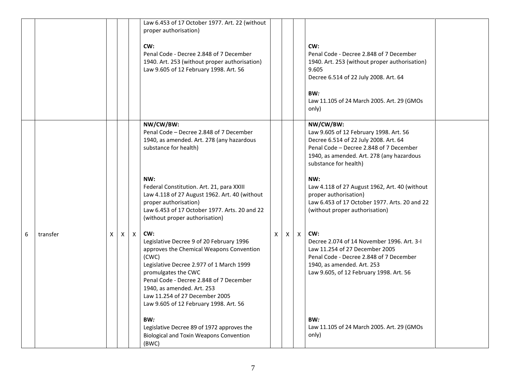|   |          |   |   |              | Law 6.453 of 17 October 1977. Art. 22 (without<br>proper authorisation)<br>CW:<br>Penal Code - Decree 2.848 of 7 December<br>1940. Art. 253 (without proper authorisation)<br>Law 9.605 of 12 February 1998. Art. 56                                     |   |   |              | CW:<br>Penal Code - Decree 2.848 of 7 December<br>1940. Art. 253 (without proper authorisation)<br>9.605<br>Decree 6.514 of 22 July 2008. Art. 64<br>BW:<br>Law 11.105 of 24 March 2005. Art. 29 (GMOs<br>only)                                                                                                                                 |
|---|----------|---|---|--------------|----------------------------------------------------------------------------------------------------------------------------------------------------------------------------------------------------------------------------------------------------------|---|---|--------------|-------------------------------------------------------------------------------------------------------------------------------------------------------------------------------------------------------------------------------------------------------------------------------------------------------------------------------------------------|
|   |          |   |   |              | NW/CW/BW:<br>Penal Code - Decree 2.848 of 7 December<br>1940, as amended. Art. 278 (any hazardous<br>substance for health)<br>NW:<br>Federal Constitution. Art. 21, para XXIII<br>Law 4.118 of 27 August 1962. Art. 40 (without<br>proper authorisation) |   |   |              | NW/CW/BW:<br>Law 9.605 of 12 February 1998. Art. 56<br>Decree 6.514 of 22 July 2008. Art. 64<br>Penal Code - Decree 2.848 of 7 December<br>1940, as amended. Art. 278 (any hazardous<br>substance for health)<br>NW:<br>Law 4.118 of 27 August 1962, Art. 40 (without<br>proper authorisation)<br>Law 6.453 of 17 October 1977. Arts. 20 and 22 |
| 6 | transfer | X | X | $\mathsf{X}$ | Law 6.453 of 17 October 1977. Arts. 20 and 22<br>(without proper authorisation)<br>CW:<br>Legislative Decree 9 of 20 February 1996<br>approves the Chemical Weapons Convention                                                                           | X | X | $\mathsf{X}$ | (without proper authorisation)<br>CW:<br>Decree 2.074 of 14 November 1996, Art. 3-1<br>Law 11.254 of 27 December 2005                                                                                                                                                                                                                           |
|   |          |   |   |              | (CWC)<br>Legislative Decree 2.977 of 1 March 1999<br>promulgates the CWC<br>Penal Code - Decree 2.848 of 7 December<br>1940, as amended. Art. 253<br>Law 11.254 of 27 December 2005<br>Law 9.605 of 12 February 1998. Art. 56                            |   |   |              | Penal Code - Decree 2.848 of 7 December<br>1940, as amended. Art. 253<br>Law 9.605, of 12 February 1998. Art. 56                                                                                                                                                                                                                                |
|   |          |   |   |              | BW:<br>Legislative Decree 89 of 1972 approves the<br><b>Biological and Toxin Weapons Convention</b><br>(BWC)                                                                                                                                             |   |   |              | BW:<br>Law 11.105 of 24 March 2005. Art. 29 (GMOs<br>only)                                                                                                                                                                                                                                                                                      |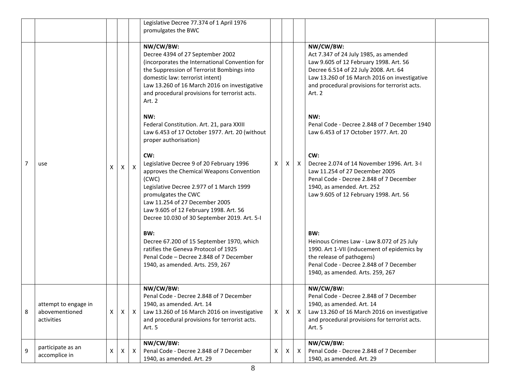|                |                                                      |   |   |              | Legislative Decree 77.374 of 1 April 1976<br>promulgates the BWC                                                                                                                                                                                                                                                                                                                                                                                                                                                                                                                                                                                                                                                                                                                                                                                                         |                |   |                           |                                                                                                                                                                                                                                                                                                                                                                                                                                                                                                                                                                                                                                                                                            |  |
|----------------|------------------------------------------------------|---|---|--------------|--------------------------------------------------------------------------------------------------------------------------------------------------------------------------------------------------------------------------------------------------------------------------------------------------------------------------------------------------------------------------------------------------------------------------------------------------------------------------------------------------------------------------------------------------------------------------------------------------------------------------------------------------------------------------------------------------------------------------------------------------------------------------------------------------------------------------------------------------------------------------|----------------|---|---------------------------|--------------------------------------------------------------------------------------------------------------------------------------------------------------------------------------------------------------------------------------------------------------------------------------------------------------------------------------------------------------------------------------------------------------------------------------------------------------------------------------------------------------------------------------------------------------------------------------------------------------------------------------------------------------------------------------------|--|
| $\overline{7}$ | use                                                  | X | X | $\mathsf{x}$ | NW/CW/BW:<br>Decree 4394 of 27 September 2002<br>(incorporates the International Convention for<br>the Suppression of Terrorist Bombings into<br>domestic law: terrorist intent)<br>Law 13.260 of 16 March 2016 on investigative<br>and procedural provisions for terrorist acts.<br>Art. 2<br>NW:<br>Federal Constitution. Art. 21, para XXIII<br>Law 6.453 of 17 October 1977. Art. 20 (without<br>proper authorisation)<br>CW:<br>Legislative Decree 9 of 20 February 1996<br>approves the Chemical Weapons Convention<br>(CWC)<br>Legislative Decree 2.977 of 1 March 1999<br>promulgates the CWC<br>Law 11.254 of 27 December 2005<br>Law 9.605 of 12 February 1998. Art. 56<br>Decree 10.030 of 30 September 2019. Art. 5-I<br>BW:<br>Decree 67.200 of 15 September 1970, which<br>ratifies the Geneva Protocol of 1925<br>Penal Code - Decree 2.848 of 7 December | X.             | X | $\boldsymbol{\mathsf{X}}$ | NW/CW/BW:<br>Act 7.347 of 24 July 1985, as amended<br>Law 9.605 of 12 February 1998. Art. 56<br>Decree 6.514 of 22 July 2008. Art. 64<br>Law 13.260 of 16 March 2016 on investigative<br>and procedural provisions for terrorist acts.<br>Art. 2<br>NW:<br>Penal Code - Decree 2.848 of 7 December 1940<br>Law 6.453 of 17 October 1977, Art. 20<br>CW:<br>Decree 2.074 of 14 November 1996. Art. 3-1<br>Law 11.254 of 27 December 2005<br>Penal Code - Decree 2.848 of 7 December<br>1940, as amended. Art. 252<br>Law 9.605 of 12 February 1998. Art. 56<br>BW:<br>Heinous Crimes Law - Law 8.072 of 25 July<br>1990. Art 1-VII (inducement of epidemics by<br>the release of pathogens) |  |
|                |                                                      |   |   |              | 1940, as amended. Arts. 259, 267                                                                                                                                                                                                                                                                                                                                                                                                                                                                                                                                                                                                                                                                                                                                                                                                                                         |                |   |                           | Penal Code - Decree 2.848 of 7 December<br>1940, as amended. Arts. 259, 267                                                                                                                                                                                                                                                                                                                                                                                                                                                                                                                                                                                                                |  |
| 8              | attempt to engage in<br>abovementioned<br>activities | X | X | $\mathsf{X}$ | NW/CW/BW:<br>Penal Code - Decree 2.848 of 7 December<br>1940, as amended. Art. 14<br>Law 13.260 of 16 March 2016 on investigative<br>and procedural provisions for terrorist acts.<br>Art. 5                                                                                                                                                                                                                                                                                                                                                                                                                                                                                                                                                                                                                                                                             | X <sub>1</sub> | Χ | $\mathsf{X}$              | NW/CW/BW:<br>Penal Code - Decree 2.848 of 7 December<br>1940, as amended. Art. 14<br>Law 13.260 of 16 March 2016 on investigative<br>and procedural provisions for terrorist acts.<br>Art. 5                                                                                                                                                                                                                                                                                                                                                                                                                                                                                               |  |
| $\overline{9}$ | participate as an<br>accomplice in                   | X | X | $\mathsf{X}$ | NW/CW/BW:<br>Penal Code - Decree 2.848 of 7 December<br>1940, as amended. Art. 29                                                                                                                                                                                                                                                                                                                                                                                                                                                                                                                                                                                                                                                                                                                                                                                        | X              | Χ | X                         | NW/CW/BW:<br>Penal Code - Decree 2.848 of 7 December<br>1940, as amended. Art. 29                                                                                                                                                                                                                                                                                                                                                                                                                                                                                                                                                                                                          |  |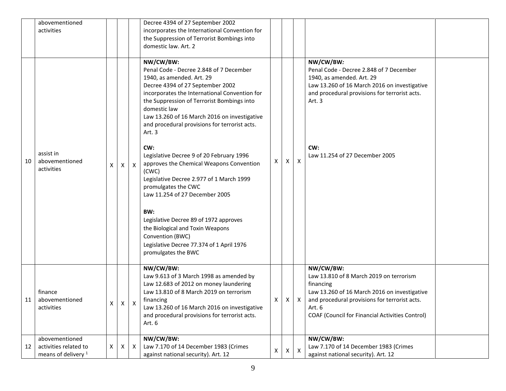|    | abovementioned<br>activities                                              |          |   |                           | Decree 4394 of 27 September 2002<br>incorporates the International Convention for<br>the Suppression of Terrorist Bombings into                                                                                                                                                                                                                 |   |    |                           |                                                                                                                                                                                                                                        |  |
|----|---------------------------------------------------------------------------|----------|---|---------------------------|-------------------------------------------------------------------------------------------------------------------------------------------------------------------------------------------------------------------------------------------------------------------------------------------------------------------------------------------------|---|----|---------------------------|----------------------------------------------------------------------------------------------------------------------------------------------------------------------------------------------------------------------------------------|--|
|    |                                                                           |          |   |                           | domestic law. Art. 2                                                                                                                                                                                                                                                                                                                            |   |    |                           |                                                                                                                                                                                                                                        |  |
|    |                                                                           |          |   |                           | NW/CW/BW:<br>Penal Code - Decree 2.848 of 7 December<br>1940, as amended. Art. 29<br>Decree 4394 of 27 September 2002<br>incorporates the International Convention for<br>the Suppression of Terrorist Bombings into<br>domestic law<br>Law 13.260 of 16 March 2016 on investigative<br>and procedural provisions for terrorist acts.<br>Art. 3 |   |    |                           | NW/CW/BW:<br>Penal Code - Decree 2.848 of 7 December<br>1940, as amended. Art. 29<br>Law 13.260 of 16 March 2016 on investigative<br>and procedural provisions for terrorist acts.<br>Art. 3                                           |  |
| 10 | assist in<br>abovementioned<br>activities                                 | X        | Χ | X                         | CW:<br>Legislative Decree 9 of 20 February 1996<br>approves the Chemical Weapons Convention<br>(CWC)<br>Legislative Decree 2.977 of 1 March 1999<br>promulgates the CWC<br>Law 11.254 of 27 December 2005                                                                                                                                       | X | X. | $\boldsymbol{\mathsf{X}}$ | CW:<br>Law 11.254 of 27 December 2005                                                                                                                                                                                                  |  |
|    |                                                                           |          |   |                           | BW:<br>Legislative Decree 89 of 1972 approves<br>the Biological and Toxin Weapons<br>Convention (BWC)<br>Legislative Decree 77.374 of 1 April 1976<br>promulgates the BWC                                                                                                                                                                       |   |    |                           |                                                                                                                                                                                                                                        |  |
| 11 | finance<br>abovementioned<br>activities                                   | <b>X</b> |   | $X \mid X$                | NW/CW/BW:<br>Law 9.613 of 3 March 1998 as amended by<br>Law 12.683 of 2012 on money laundering<br>Law 13.810 of 8 March 2019 on terrorism<br>financing<br>Law 13.260 of 16 March 2016 on investigative<br>and procedural provisions for terrorist acts.<br>Art. 6                                                                               | х | X  | X                         | NW/CW/BW:<br>Law 13.810 of 8 March 2019 on terrorism<br>financing<br>Law 13.260 of 16 March 2016 on investigative<br>and procedural provisions for terrorist acts.<br>Art. 6<br><b>COAF (Council for Financial Activities Control)</b> |  |
| 12 | abovementioned<br>activities related to<br>means of delivery <sup>1</sup> | X        | X | $\boldsymbol{\mathsf{X}}$ | NW/CW/BW:<br>Law 7.170 of 14 December 1983 (Crimes<br>against national security). Art. 12                                                                                                                                                                                                                                                       | Χ | X  | $\boldsymbol{\mathsf{X}}$ | NW/CW/BW:<br>Law 7.170 of 14 December 1983 (Crimes<br>against national security). Art. 12                                                                                                                                              |  |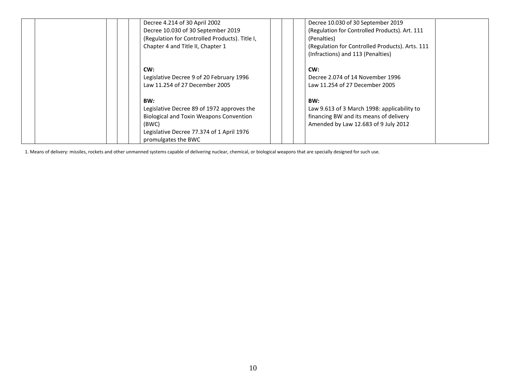| Decree 4.214 of 30 April 2002<br>Decree 10.030 of 30 September 2019<br>(Regulation for Controlled Products). Title I,<br>Chapter 4 and Title II, Chapter 1                       | Decree 10.030 of 30 September 2019<br>(Regulation for Controlled Products). Art. 111<br>(Penalties)<br>(Regulation for Controlled Products). Arts. 111<br>(Infractions) and 113 (Penalties) |
|----------------------------------------------------------------------------------------------------------------------------------------------------------------------------------|---------------------------------------------------------------------------------------------------------------------------------------------------------------------------------------------|
| CW:<br>Legislative Decree 9 of 20 February 1996<br>Law 11.254 of 27 December 2005                                                                                                | CW:<br>Decree 2.074 of 14 November 1996<br>Law 11.254 of 27 December 2005                                                                                                                   |
| BW:<br>Legislative Decree 89 of 1972 approves the<br><b>Biological and Toxin Weapons Convention</b><br>(BWC)<br>Legislative Decree 77.374 of 1 April 1976<br>promulgates the BWC | BW:<br>Law 9.613 of 3 March 1998: applicability to<br>financing BW and its means of delivery<br>Amended by Law 12.683 of 9 July 2012                                                        |

1. Means of delivery: missiles, rockets and other unmanned systems capable of delivering nuclear, chemical, or biological weapons that are specially designed for such use.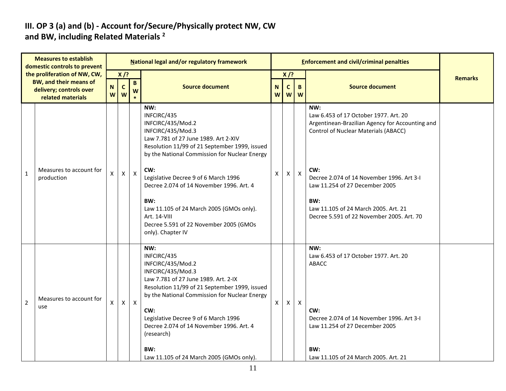#### **III. OP 3 (a) and (b) - Account for/Secure/Physically protect NW, CW and BW, including Related Materials <sup>2</sup>**

|                | <b>Measures to establish</b><br>domestic controls to prevent  |                |                   |              | National legal and/or regulatory framework                                                                                                                                                                                                                                                                             |                  |                   |              | <b>Enforcement and civil/criminal penalties</b>                                                                                                    |                |
|----------------|---------------------------------------------------------------|----------------|-------------------|--------------|------------------------------------------------------------------------------------------------------------------------------------------------------------------------------------------------------------------------------------------------------------------------------------------------------------------------|------------------|-------------------|--------------|----------------------------------------------------------------------------------------------------------------------------------------------------|----------------|
|                | the proliferation of NW, CW,<br><b>BW, and their means of</b> |                | $X$ /?            | $\mathbf{B}$ |                                                                                                                                                                                                                                                                                                                        |                  | $X$ /?            |              |                                                                                                                                                    | <b>Remarks</b> |
|                | delivery; controls over<br>related materials                  | ${\sf N}$<br>W | $\mathsf{C}$<br>W | W            | <b>Source document</b>                                                                                                                                                                                                                                                                                                 | $\mathbf N$<br>W | $\mathsf{C}$<br>W | B<br>W       | <b>Source document</b>                                                                                                                             |                |
|                |                                                               |                |                   |              | NW:<br>INFCIRC/435<br>INFCIRC/435/Mod.2<br>INFCIRC/435/Mod.3<br>Law 7.781 of 27 June 1989. Art 2-XIV<br>Resolution 11/99 of 21 September 1999, issued<br>by the National Commission for Nuclear Energy                                                                                                                 |                  |                   |              | NW:<br>Law 6.453 of 17 October 1977. Art. 20<br>Argentinean-Brazilian Agency for Accounting and<br><b>Control of Nuclear Materials (ABACC)</b>     |                |
| $1\,$          | Measures to account for<br>production                         | Χ              | X                 | $\mathsf{X}$ | CW:<br>Legislative Decree 9 of 6 March 1996<br>Decree 2.074 of 14 November 1996. Art. 4                                                                                                                                                                                                                                | X                | X                 | $\mathsf{X}$ | CW:<br>Decree 2.074 of 14 November 1996. Art 3-I<br>Law 11.254 of 27 December 2005                                                                 |                |
|                |                                                               |                |                   |              | BW:<br>Law 11.105 of 24 March 2005 (GMOs only).<br>Art. 14-VIII<br>Decree 5.591 of 22 November 2005 (GMOs<br>only). Chapter IV                                                                                                                                                                                         |                  |                   |              | BW:<br>Law 11.105 of 24 March 2005. Art. 21<br>Decree 5.591 of 22 November 2005. Art. 70                                                           |                |
| $\overline{2}$ | Measures to account for<br>use                                | X              | X                 | $\mathsf{X}$ | NW:<br>INFCIRC/435<br>INFCIRC/435/Mod.2<br>INFCIRC/435/Mod.3<br>Law 7.781 of 27 June 1989. Art. 2-IX<br>Resolution 11/99 of 21 September 1999, issued<br>by the National Commission for Nuclear Energy<br>CW:<br>Legislative Decree 9 of 6 March 1996<br>Decree 2.074 of 14 November 1996. Art. 4<br>(research)<br>BW: | X                | X                 | X            | NW:<br>Law 6.453 of 17 October 1977, Art. 20<br>ABACC<br>CW:<br>Decree 2.074 of 14 November 1996. Art 3-I<br>Law 11.254 of 27 December 2005<br>BW: |                |
|                |                                                               |                |                   |              | Law 11.105 of 24 March 2005 (GMOs only).                                                                                                                                                                                                                                                                               |                  |                   |              | Law 11.105 of 24 March 2005. Art. 21                                                                                                               |                |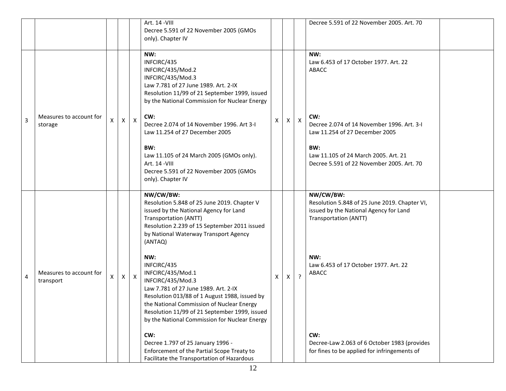|   |                                      |   |          |              | Art. 14 - VIII<br>Decree 5.591 of 22 November 2005 (GMOs<br>only). Chapter IV                                                                                                                                                                                                                                                                                                                                                                                                                                                                                                                                                                                                   |   |              |              | Decree 5.591 of 22 November 2005. Art. 70                                                                                                                                                                                                                                                     |  |
|---|--------------------------------------|---|----------|--------------|---------------------------------------------------------------------------------------------------------------------------------------------------------------------------------------------------------------------------------------------------------------------------------------------------------------------------------------------------------------------------------------------------------------------------------------------------------------------------------------------------------------------------------------------------------------------------------------------------------------------------------------------------------------------------------|---|--------------|--------------|-----------------------------------------------------------------------------------------------------------------------------------------------------------------------------------------------------------------------------------------------------------------------------------------------|--|
| 3 | Measures to account for<br>storage   | X | $\times$ | $\mathsf{X}$ | NW:<br>INFCIRC/435<br>INFCIRC/435/Mod.2<br>INFCIRC/435/Mod.3<br>Law 7.781 of 27 June 1989. Art. 2-IX<br>Resolution 11/99 of 21 September 1999, issued<br>by the National Commission for Nuclear Energy<br>CW:<br>Decree 2.074 of 14 November 1996. Art 3-I<br>Law 11.254 of 27 December 2005<br>BW:<br>Law 11.105 of 24 March 2005 (GMOs only).<br>Art. 14 - VIII<br>Decree 5.591 of 22 November 2005 (GMOs<br>only). Chapter IV                                                                                                                                                                                                                                                | X | X            | $\mathsf{X}$ | NW:<br>Law 6.453 of 17 October 1977. Art. 22<br>ABACC<br>CW:<br>Decree 2.074 of 14 November 1996. Art. 3-I<br>Law 11.254 of 27 December 2005<br>BW:<br>Law 11.105 of 24 March 2005. Art. 21<br>Decree 5.591 of 22 November 2005. Art. 70                                                      |  |
| 4 | Measures to account for<br>transport |   |          | $X \mid X$   | NW/CW/BW:<br>Resolution 5.848 of 25 June 2019. Chapter V<br>issued by the National Agency for Land<br>Transportation (ANTT)<br>Resolution 2.239 of 15 September 2011 issued<br>by National Waterway Transport Agency<br>(ANTAQ)<br>NW:<br>INFCIRC/435<br>INFCIRC/435/Mod.1<br>INFCIRC/435/Mod.3<br>Law 7.781 of 27 June 1989. Art. 2-IX<br>Resolution 013/88 of 1 August 1988, issued by<br>the National Commission of Nuclear Energy<br>Resolution 11/99 of 21 September 1999, issued<br>by the National Commission for Nuclear Energy<br>CW:<br>Decree 1.797 of 25 January 1996 -<br>Enforcement of the Partial Scope Treaty to<br>Facilitate the Transportation of Hazardous | X | $\mathsf{x}$ | $\cdot$      | NW/CW/BW:<br>Resolution 5.848 of 25 June 2019. Chapter VI,<br>issued by the National Agency for Land<br>Transportation (ANTT)<br>NW:<br>Law 6.453 of 17 October 1977. Art. 22<br>ABACC<br>CW:<br>Decree-Law 2.063 of 6 October 1983 (provides<br>for fines to be applied for infringements of |  |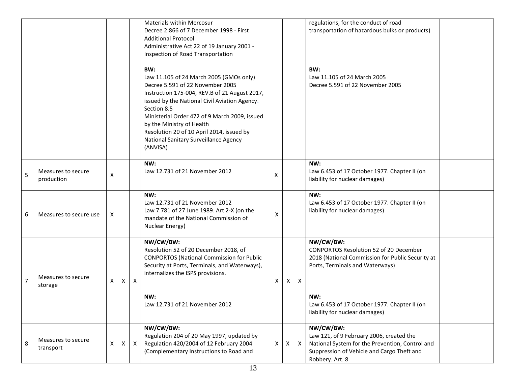|                |                                  |   |              |              | <b>Materials within Mercosur</b><br>Decree 2.866 of 7 December 1998 - First<br><b>Additional Protocol</b><br>Administrative Act 22 of 19 January 2001 -<br>Inspection of Road Transportation                                                                                                                                                                                        |   |          |              | regulations, for the conduct of road<br>transportation of hazardous bulks or products)                                                                                                                                                     |  |
|----------------|----------------------------------|---|--------------|--------------|-------------------------------------------------------------------------------------------------------------------------------------------------------------------------------------------------------------------------------------------------------------------------------------------------------------------------------------------------------------------------------------|---|----------|--------------|--------------------------------------------------------------------------------------------------------------------------------------------------------------------------------------------------------------------------------------------|--|
|                |                                  |   |              |              | BW:<br>Law 11.105 of 24 March 2005 (GMOs only)<br>Decree 5.591 of 22 November 2005<br>Instruction 175-004, REV.B of 21 August 2017,<br>issued by the National Civil Aviation Agency.<br>Section 8.5<br>Ministerial Order 472 of 9 March 2009, issued<br>by the Ministry of Health<br>Resolution 20 of 10 April 2014, issued by<br>National Sanitary Surveillance Agency<br>(ANVISA) |   |          |              | BW:<br>Law 11.105 of 24 March 2005<br>Decree 5.591 of 22 November 2005                                                                                                                                                                     |  |
| 5              | Measures to secure<br>production | X |              |              | NW:<br>Law 12.731 of 21 November 2012                                                                                                                                                                                                                                                                                                                                               | х |          |              | NW:<br>Law 6.453 of 17 October 1977. Chapter II (on<br>liability for nuclear damages)                                                                                                                                                      |  |
| 6              | Measures to secure use           | X |              |              | NW:<br>Law 12.731 of 21 November 2012<br>Law 7.781 of 27 June 1989. Art 2-X (on the<br>mandate of the National Commission of<br>Nuclear Energy)                                                                                                                                                                                                                                     | x |          |              | NW:<br>Law 6.453 of 17 October 1977. Chapter II (on<br>liability for nuclear damages)                                                                                                                                                      |  |
| $\overline{7}$ | Measures to secure<br>storage    | X | X            | X            | NW/CW/BW:<br>Resolution 52 of 20 December 2018, of<br><b>CONPORTOS (National Commission for Public</b><br>Security at Ports, Terminals, and Waterways),<br>internalizes the ISPS provisions.<br>NW:<br>Law 12.731 of 21 November 2012                                                                                                                                               | X | X        | Χ            | NW/CW/BW:<br><b>CONPORTOS Resolution 52 of 20 December</b><br>2018 (National Commission for Public Security at<br>Ports, Terminals and Waterways)<br>NW:<br>Law 6.453 of 17 October 1977. Chapter II (on<br>liability for nuclear damages) |  |
| 8              | Measures to secure<br>transport  | X | $\mathsf{X}$ | $\mathsf{X}$ | NW/CW/BW:<br>Regulation 204 of 20 May 1997, updated by<br>Regulation 420/2004 of 12 February 2004<br>(Complementary Instructions to Road and                                                                                                                                                                                                                                        | X | $\times$ | $\mathsf{X}$ | NW/CW/BW:<br>Law 121, of 9 February 2006, created the<br>National System for the Prevention, Control and<br>Suppression of Vehicle and Cargo Theft and<br>Robbery. Art. 8                                                                  |  |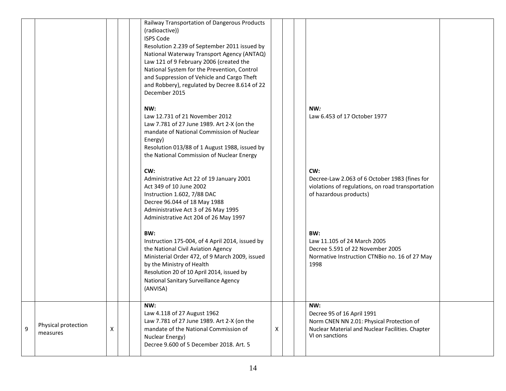|   |                                 |   | Railway Transportation of Dangerous Products<br>(radioactive))<br><b>ISPS Code</b><br>Resolution 2.239 of September 2011 issued by<br>National Waterway Transport Agency (ANTAQ)<br>Law 121 of 9 February 2006 (created the<br>National System for the Prevention, Control<br>and Suppression of Vehicle and Cargo Theft<br>and Robbery), regulated by Decree 8.614 of 22<br>December 2015 |   |                                                                                                                                                       |  |
|---|---------------------------------|---|--------------------------------------------------------------------------------------------------------------------------------------------------------------------------------------------------------------------------------------------------------------------------------------------------------------------------------------------------------------------------------------------|---|-------------------------------------------------------------------------------------------------------------------------------------------------------|--|
|   |                                 |   | NW:<br>Law 12.731 of 21 November 2012<br>Law 7.781 of 27 June 1989. Art 2-X (on the<br>mandate of National Commission of Nuclear<br>Energy)<br>Resolution 013/88 of 1 August 1988, issued by<br>the National Commission of Nuclear Energy                                                                                                                                                  |   | NW:<br>Law 6.453 of 17 October 1977                                                                                                                   |  |
|   |                                 |   | CW:<br>Administrative Act 22 of 19 January 2001<br>Act 349 of 10 June 2002<br>Instruction 1.602, 7/88 DAC<br>Decree 96.044 of 18 May 1988<br>Administrative Act 3 of 26 May 1995<br>Administrative Act 204 of 26 May 1997                                                                                                                                                                  |   | CW:<br>Decree-Law 2.063 of 6 October 1983 (fines for<br>violations of regulations, on road transportation<br>of hazardous products)                   |  |
|   |                                 |   | BW:<br>Instruction 175-004, of 4 April 2014, issued by<br>the National Civil Aviation Agency<br>Ministerial Order 472, of 9 March 2009, issued<br>by the Ministry of Health<br>Resolution 20 of 10 April 2014, issued by<br>National Sanitary Surveillance Agency<br>(ANVISA)                                                                                                              |   | BW:<br>Law 11.105 of 24 March 2005<br>Decree 5.591 of 22 November 2005<br>Normative Instruction CTNBio no. 16 of 27 May<br>1998                       |  |
| 9 | Physical protection<br>measures | X | NW:<br>Law 4.118 of 27 August 1962<br>Law 7.781 of 27 June 1989. Art 2-X (on the<br>mandate of the National Commission of<br>Nuclear Energy)<br>Decree 9.600 of 5 December 2018. Art. 5                                                                                                                                                                                                    | X | NW:<br>Decree 95 of 16 April 1991<br>Norm CNEN NN 2.01: Physical Protection of<br>Nuclear Material and Nuclear Facilities. Chapter<br>VI on sanctions |  |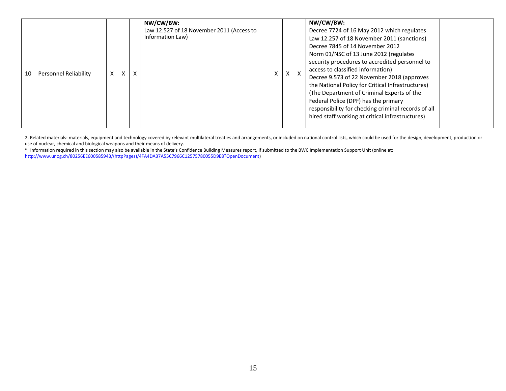|    |                       |   |   |   | NW/CW/BW:<br>Law 12.527 of 18 November 2011 (Access to<br>Information Law) |   |          | NW/CW/BW:<br>Decree 7724 of 16 May 2012 which regulates<br>Law 12.257 of 18 November 2011 (sanctions)                                                                                                                                                                                                                                                                                                                                                                |  |
|----|-----------------------|---|---|---|----------------------------------------------------------------------------|---|----------|----------------------------------------------------------------------------------------------------------------------------------------------------------------------------------------------------------------------------------------------------------------------------------------------------------------------------------------------------------------------------------------------------------------------------------------------------------------------|--|
| 10 | Personnel Reliability | X | X | X |                                                                            | X | $\times$ | Decree 7845 of 14 November 2012<br>Norm 01/NSC of 13 June 2012 (regulates<br>security procedures to accredited personnel to<br>access to classified information)<br>Decree 9.573 of 22 November 2018 (approves<br>the National Policy for Critical Infrastructures)<br>(The Department of Criminal Experts of the<br>Federal Police (DPF) has the primary<br>responsibility for checking criminal records of all<br>hired staff working at critical infrastructures) |  |

2. Related materials: materials, equipment and technology covered by relevant multilateral treaties and arrangements, or included on national control lists, which could be used for the design, development, production or use of nuclear, chemical and biological weapons and their means of delivery.

\* Information required in this section may also be available in the State's Confidence Building Measures report, if submitted to the BWC Implementation Support Unit (online at: [http://www.unog.ch/80256EE600585943/\(httpPages\)/4FA4DA37A55C7966C12575780055D9E8?OpenDocument\)](http://www.unog.ch/80256EE600585943/(httpPages)/4FA4DA37A55C7966C12575780055D9E8?OpenDocument)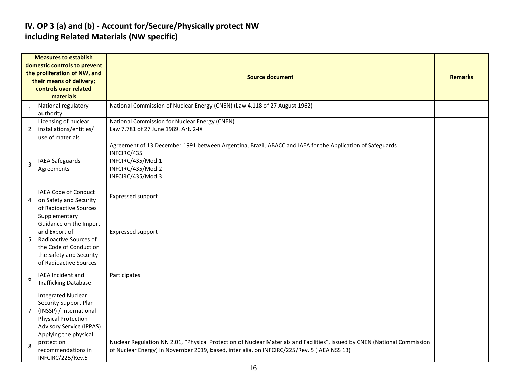### **IV. OP 3 (a) and (b) - Account for/Secure/Physically protect NW including Related Materials (NW specific)**

|                | <b>Measures to establish</b>                                                                                                                                      |                                                                                                                                                                                                                           |  |  |  |  |  |  |  |  |
|----------------|-------------------------------------------------------------------------------------------------------------------------------------------------------------------|---------------------------------------------------------------------------------------------------------------------------------------------------------------------------------------------------------------------------|--|--|--|--|--|--|--|--|
|                | domestic controls to prevent<br>the proliferation of NW, and<br>their means of delivery;<br>controls over related<br>materials                                    | <b>Source document</b>                                                                                                                                                                                                    |  |  |  |  |  |  |  |  |
| $\mathbf{1}$   | National regulatory<br>authority                                                                                                                                  | National Commission of Nuclear Energy (CNEN) (Law 4.118 of 27 August 1962)                                                                                                                                                |  |  |  |  |  |  |  |  |
| 2              | Licensing of nuclear<br>installations/entities/<br>use of materials                                                                                               | National Commission for Nuclear Energy (CNEN)<br>Law 7.781 of 27 June 1989. Art. 2-IX                                                                                                                                     |  |  |  |  |  |  |  |  |
| 3              | <b>IAEA Safeguards</b><br>Agreements                                                                                                                              | Agreement of 13 December 1991 between Argentina, Brazil, ABACC and IAEA for the Application of Safeguards<br>INFCIRC/435<br>INFCIRC/435/Mod.1<br>INFCIRC/435/Mod.2<br>INFCIRC/435/Mod.3                                   |  |  |  |  |  |  |  |  |
| 4              | IAEA Code of Conduct<br>on Safety and Security<br>of Radioactive Sources                                                                                          | Expressed support                                                                                                                                                                                                         |  |  |  |  |  |  |  |  |
| 5              | Supplementary<br>Guidance on the Import<br>and Export of<br>Radioactive Sources of<br>the Code of Conduct on<br>the Safety and Security<br>of Radioactive Sources | Expressed support                                                                                                                                                                                                         |  |  |  |  |  |  |  |  |
| 6              | IAEA Incident and<br><b>Trafficking Database</b>                                                                                                                  | Participates                                                                                                                                                                                                              |  |  |  |  |  |  |  |  |
| $\overline{7}$ | <b>Integrated Nuclear</b><br>Security Support Plan<br>(INSSP) / International<br><b>Physical Protection</b><br><b>Advisory Service (IPPAS)</b>                    |                                                                                                                                                                                                                           |  |  |  |  |  |  |  |  |
| 8              | Applying the physical<br>protection<br>recommendations in<br>INFCIRC/225/Rev.5                                                                                    | Nuclear Regulation NN 2.01, "Physical Protection of Nuclear Materials and Facilities", issued by CNEN (National Commission<br>of Nuclear Energy) in November 2019, based, inter alia, on INFCIRC/225/Rev. 5 (IAEA NSS 13) |  |  |  |  |  |  |  |  |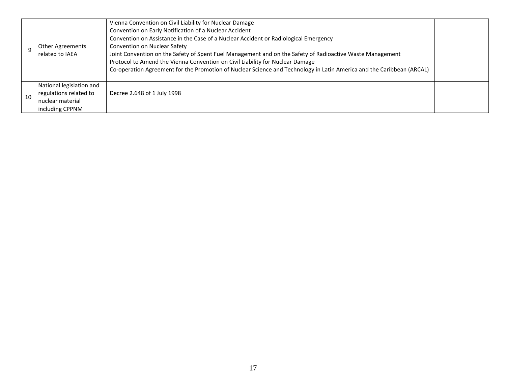|    | <b>Other Agreements</b><br>related to IAEA                                                | Vienna Convention on Civil Liability for Nuclear Damage<br>Convention on Early Notification of a Nuclear Accident<br>Convention on Assistance in the Case of a Nuclear Accident or Radiological Emergency<br>Convention on Nuclear Safety<br>Joint Convention on the Safety of Spent Fuel Management and on the Safety of Radioactive Waste Management<br>Protocol to Amend the Vienna Convention on Civil Liability for Nuclear Damage<br>Co-operation Agreement for the Promotion of Nuclear Science and Technology in Latin America and the Caribbean (ARCAL) |  |
|----|-------------------------------------------------------------------------------------------|------------------------------------------------------------------------------------------------------------------------------------------------------------------------------------------------------------------------------------------------------------------------------------------------------------------------------------------------------------------------------------------------------------------------------------------------------------------------------------------------------------------------------------------------------------------|--|
| 10 | National legislation and<br>regulations related to<br>nuclear material<br>including CPPNM | Decree 2.648 of 1 July 1998                                                                                                                                                                                                                                                                                                                                                                                                                                                                                                                                      |  |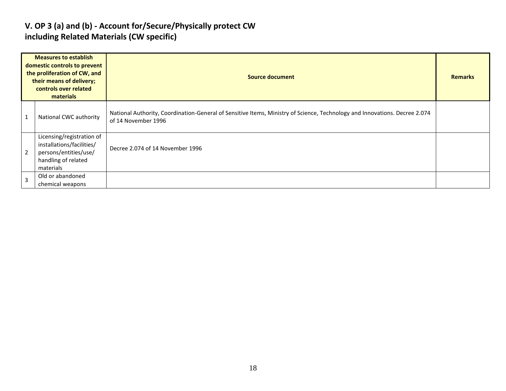### **V. OP 3 (a) and (b) - Account for/Secure/Physically protect CW including Related Materials (CW specific)**

|   | <b>Measures to establish</b><br>domestic controls to prevent<br>the proliferation of CW, and<br>their means of delivery;<br>controls over related<br>materials | Source document                                                                                                                                   | <b>Remarks</b> |
|---|----------------------------------------------------------------------------------------------------------------------------------------------------------------|---------------------------------------------------------------------------------------------------------------------------------------------------|----------------|
| L | National CWC authority                                                                                                                                         | National Authority, Coordination-General of Sensitive Items, Ministry of Science, Technology and Innovations. Decree 2.074<br>of 14 November 1996 |                |
| 2 | Licensing/registration of<br>installations/facilities/<br>persons/entities/use/<br>handling of related<br>materials                                            | Decree 2.074 of 14 November 1996                                                                                                                  |                |
| 3 | Old or abandoned<br>chemical weapons                                                                                                                           |                                                                                                                                                   |                |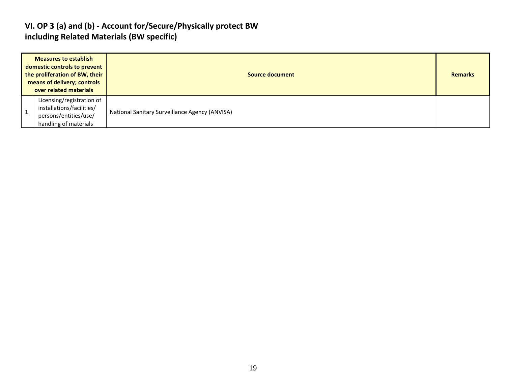### **VI. OP 3 (a) and (b) - Account for/Secure/Physically protect BW including Related Materials (BW specific)**

| <b>Measures to establish</b><br>domestic controls to prevent<br>the proliferation of BW, their<br>means of delivery; controls<br>over related materials | Source document                                |  |  |  |  |
|---------------------------------------------------------------------------------------------------------------------------------------------------------|------------------------------------------------|--|--|--|--|
| Licensing/registration of<br>installations/facilities/<br>persons/entities/use/<br>handling of materials                                                | National Sanitary Surveillance Agency (ANVISA) |  |  |  |  |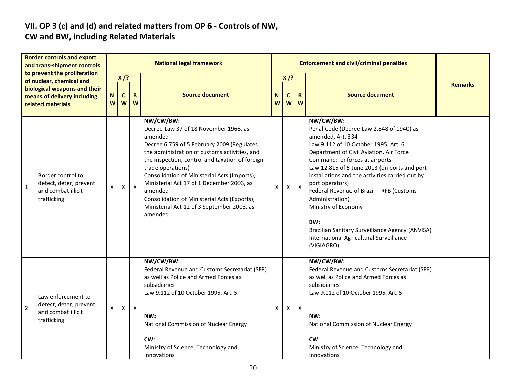# **VII. OP 3 (c) and (d) and related matters from OP 6 - Controls of NW,**

### **CW and BW, including Related Materials**

|                                                                                                              | <b>Border controls and export</b><br>and trans-shipment controls<br>to prevent the proliferation |        |                            |              | <b>National legal framework</b>                                                                                                                                                                                                                                                                                                                                                                                                                       |   |                                      |                           | <b>Enforcement and civil/criminal penalties</b>                                                                                                                                                                                                                                                                                                                                                                                                                                                                               |                |
|--------------------------------------------------------------------------------------------------------------|--------------------------------------------------------------------------------------------------|--------|----------------------------|--------------|-------------------------------------------------------------------------------------------------------------------------------------------------------------------------------------------------------------------------------------------------------------------------------------------------------------------------------------------------------------------------------------------------------------------------------------------------------|---|--------------------------------------|---------------------------|-------------------------------------------------------------------------------------------------------------------------------------------------------------------------------------------------------------------------------------------------------------------------------------------------------------------------------------------------------------------------------------------------------------------------------------------------------------------------------------------------------------------------------|----------------|
| of nuclear, chemical and<br>biological weapons and their<br>means of delivery including<br>related materials |                                                                                                  | N<br>W | $X$ /?<br>$\mathbf c$<br>W | B<br>W       | <b>Source document</b>                                                                                                                                                                                                                                                                                                                                                                                                                                |   | $X$ /?<br>B<br>N<br>C<br>W<br>W<br>W |                           | <b>Source document</b>                                                                                                                                                                                                                                                                                                                                                                                                                                                                                                        | <b>Remarks</b> |
| 1                                                                                                            | Border control to<br>detect, deter, prevent<br>and combat illicit<br>trafficking                 | X      | $\mathsf{X}$               | $\mathsf{X}$ | NW/CW/BW:<br>Decree-Law 37 of 18 November 1966, as<br>amended<br>Decree 6.759 of 5 February 2009 (Regulates<br>the administration of customs activities, and<br>the inspection, control and taxation of foreign<br>trade operations)<br>Consolidation of Ministerial Acts (Imports),<br>Ministerial Act 17 of 1 December 2003, as<br>amended<br>Consolidation of Ministerial Acts (Exports),<br>Ministerial Act 12 of 3 September 2003, as<br>amended | X | $\mathsf{X}$                         | $\boldsymbol{\mathsf{X}}$ | NW/CW/BW:<br>Penal Code (Decree-Law 2.848 of 1940) as<br>amended. Art. 334<br>Law 9.112 of 10 October 1995. Art. 6<br>Department of Civil Aviation, Air Force<br>Command: enforces at airports<br>Law 12.815 of 5 June 2013 (on ports and port<br>installations and the activities carried out by<br>port operators)<br>Federal Revenue of Brazil - RFB (Customs<br>Administration)<br>Ministry of Economy<br>BW:<br>Brazilian Sanitary Surveillance Agency (ANVISA)<br>International Agricultural Surveillance<br>(VIGIAGRO) |                |
| $\overline{2}$                                                                                               | Law enforcement to<br>detect, deter, prevent<br>and combat illicit<br>trafficking                | X      | $\mathsf{X}$               | $\mathsf{X}$ | NW/CW/BW:<br>Federal Revenue and Customs Secretariat (SFR)<br>as well as Police and Armed Forces as<br>subsidiaries<br>Law 9.112 of 10 October 1995. Art. 5<br>NW:<br>National Commission of Nuclear Energy<br>CW:<br>Ministry of Science, Technology and<br>Innovations                                                                                                                                                                              | X | $\mathsf{X}$                         | $\boldsymbol{X}$          | NW/CW/BW:<br>Federal Revenue and Customs Secretariat (SFR)<br>as well as Police and Armed Forces as<br>subsidiaries<br>Law 9.112 of 10 October 1995. Art. 5<br>NW:<br>National Commission of Nuclear Energy<br>CW:<br>Ministry of Science, Technology and<br>Innovations                                                                                                                                                                                                                                                      |                |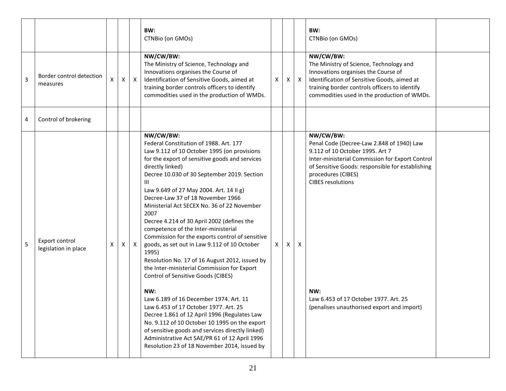|                |                                        |   |   |              | BW:<br>CTNBio (on GMOs)                                                                                                                                                                                                                                                                                                                                                                                                                                                                                                                                                                                                                                                                                                                                                                                                                                                                                                                                                                                                                                     |   |   |              | BW:<br>CTNBio (on GMOs)                                                                                                                                                                                                                                                                                                                          |  |
|----------------|----------------------------------------|---|---|--------------|-------------------------------------------------------------------------------------------------------------------------------------------------------------------------------------------------------------------------------------------------------------------------------------------------------------------------------------------------------------------------------------------------------------------------------------------------------------------------------------------------------------------------------------------------------------------------------------------------------------------------------------------------------------------------------------------------------------------------------------------------------------------------------------------------------------------------------------------------------------------------------------------------------------------------------------------------------------------------------------------------------------------------------------------------------------|---|---|--------------|--------------------------------------------------------------------------------------------------------------------------------------------------------------------------------------------------------------------------------------------------------------------------------------------------------------------------------------------------|--|
| $\overline{3}$ | Border control detection<br>measures   | X | X | $\mathsf{X}$ | NW/CW/BW:<br>The Ministry of Science, Technology and<br>Innovations organises the Course of<br>Identification of Sensitive Goods, aimed at<br>training border controls officers to identify<br>commodities used in the production of WMDs.                                                                                                                                                                                                                                                                                                                                                                                                                                                                                                                                                                                                                                                                                                                                                                                                                  | X | X | $\mathsf{X}$ | NW/CW/BW:<br>The Ministry of Science, Technology and<br>Innovations organises the Course of<br>Identification of Sensitive Goods, aimed at<br>training border controls officers to identify<br>commodities used in the production of WMDs.                                                                                                       |  |
| $\overline{4}$ | Control of brokering                   |   |   |              |                                                                                                                                                                                                                                                                                                                                                                                                                                                                                                                                                                                                                                                                                                                                                                                                                                                                                                                                                                                                                                                             |   |   |              |                                                                                                                                                                                                                                                                                                                                                  |  |
| 5              | Export control<br>legislation in place | X | Χ | $\mathsf{X}$ | NW/CW/BW:<br>Federal Constitution of 1988. Art. 177<br>Law 9.112 of 10 October 1995 (on provisions<br>for the export of sensitive goods and services<br>directly linked)<br>Decree 10.030 of 30 September 2019. Section<br>Ш<br>Law 9.649 of 27 May 2004. Art. 14 II g)<br>Decree-Law 37 of 18 November 1966<br>Ministerial Act SECEX No. 36 of 22 November<br>2007<br>Decree 4.214 of 30 April 2002 (defines the<br>competence of the Inter-ministerial<br>Commission for the exports control of sensitive<br>goods, as set out in Law 9.112 of 10 October<br>1995)<br>Resolution No. 17 of 16 August 2012, issued by<br>the Inter-ministerial Commission for Export<br>Control of Sensitive Goods (CIBES)<br>NW:<br>Law 6.189 of 16 December 1974. Art. 11<br>Law 6.453 of 17 October 1977. Art. 25<br>Decree 1.861 of 12 April 1996 (Regulates Law<br>No. 9.112 of 10 October 10 1995 on the export<br>of sensitive goods and services directly linked)<br>Administrative Act SAE/PR 61 of 12 April 1996<br>Resolution 23 of 18 November 2014, issued by | X | X | $\mathsf{x}$ | NW/CW/BW:<br>Penal Code (Decree-Law 2.848 of 1940) Law<br>9.112 of 10 October 1995. Art 7<br>Inter-ministerial Commission for Export Control<br>of Sensitive Goods: responsible for establishing<br>procedures (CIBES)<br><b>CIBES</b> resolutions<br>NW:<br>Law 6.453 of 17 October 1977. Art. 25<br>(penalises unauthorised export and import) |  |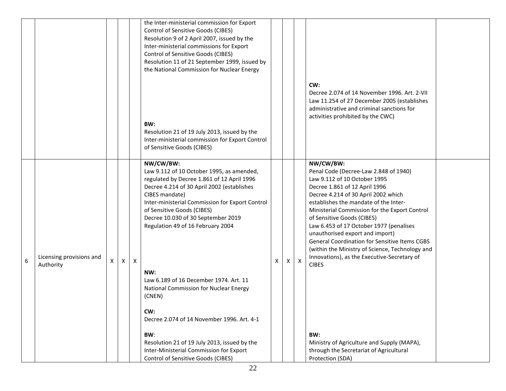|   |                                       |   |   |                  | the Inter-ministerial commission for Export<br>Control of Sensitive Goods (CIBES)<br>Resolution 9 of 2 April 2007, issued by the<br>Inter-ministerial commissions for Export<br>Control of Sensitive Goods (CIBES)<br>Resolution 11 of 21 September 1999, issued by<br>the National Commission for Nuclear Energy                                                                                                                                                                                                                                                                                                                  |   |    |                           | CW:<br>Decree 2.074 of 14 November 1996. Art. 2-VII                                                                                                                                                                                                                                                                                                                                                                                                                                                                                                                                                                                                            |  |
|---|---------------------------------------|---|---|------------------|------------------------------------------------------------------------------------------------------------------------------------------------------------------------------------------------------------------------------------------------------------------------------------------------------------------------------------------------------------------------------------------------------------------------------------------------------------------------------------------------------------------------------------------------------------------------------------------------------------------------------------|---|----|---------------------------|----------------------------------------------------------------------------------------------------------------------------------------------------------------------------------------------------------------------------------------------------------------------------------------------------------------------------------------------------------------------------------------------------------------------------------------------------------------------------------------------------------------------------------------------------------------------------------------------------------------------------------------------------------------|--|
|   |                                       |   |   |                  | BW:<br>Resolution 21 of 19 July 2013, issued by the<br>Inter-ministerial commission for Export Control<br>of Sensitive Goods (CIBES)                                                                                                                                                                                                                                                                                                                                                                                                                                                                                               |   |    |                           | Law 11.254 of 27 December 2005 (establishes<br>administrative and criminal sanctions for<br>activities prohibited by the CWC)                                                                                                                                                                                                                                                                                                                                                                                                                                                                                                                                  |  |
| 6 | Licensing provisions and<br>Authority | X | X | $\boldsymbol{X}$ | NW/CW/BW:<br>Law 9.112 of 10 October 1995, as amended,<br>regulated by Decree 1.861 of 12 April 1996<br>Decree 4.214 of 30 April 2002 (establishes<br>CIBES mandate)<br>Inter-ministerial Commission for Export Control<br>of Sensitive Goods (CIBES)<br>Decree 10.030 of 30 September 2019<br>Regulation 49 of 16 February 2004<br>NW:<br>Law 6.189 of 16 December 1974. Art. 11<br>National Commission for Nuclear Energy<br>(CNEN)<br>CW:<br>Decree 2.074 of 14 November 1996. Art. 4-1<br>BW:<br>Resolution 21 of 19 July 2013, issued by the<br>Inter-Ministerial Commission for Export<br>Control of Sensitive Goods (CIBES) | X | X. | $\boldsymbol{\mathsf{X}}$ | NW/CW/BW:<br>Penal Code (Decree-Law 2.848 of 1940)<br>Law 9.112 of 10 October 1995<br>Decree 1.861 of 12 April 1996<br>Decree 4.214 of 30 April 2002 which<br>establishes the mandate of the Inter-<br>Ministerial Commission for the Export Control<br>of Sensitive Goods (CIBES)<br>Law 6.453 of 17 October 1977 (penalises<br>unauthorised export and import)<br><b>General Coordination for Sensitive Items CGBS</b><br>(within the Ministry of Science, Technology and<br>Innovations), as the Executive-Secretary of<br><b>CIBES</b><br>BW:<br>Ministry of Agriculture and Supply (MAPA),<br>through the Secretariat of Agricultural<br>Protection (SDA) |  |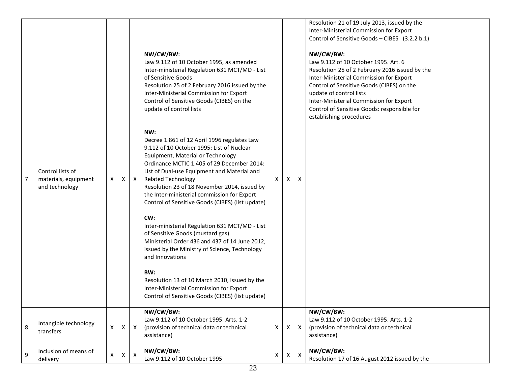|   |                                                            |   |   |              |                                                                                                                                                                                                                                                                                                                                                                                                                                                                                                                                                                                                                                                                                                                                                                                                                                                                                                                                                                                                                                                                                                   |                           |   |              | Resolution 21 of 19 July 2013, issued by the                                                                                                                                                                                                                                                                                                |  |
|---|------------------------------------------------------------|---|---|--------------|---------------------------------------------------------------------------------------------------------------------------------------------------------------------------------------------------------------------------------------------------------------------------------------------------------------------------------------------------------------------------------------------------------------------------------------------------------------------------------------------------------------------------------------------------------------------------------------------------------------------------------------------------------------------------------------------------------------------------------------------------------------------------------------------------------------------------------------------------------------------------------------------------------------------------------------------------------------------------------------------------------------------------------------------------------------------------------------------------|---------------------------|---|--------------|---------------------------------------------------------------------------------------------------------------------------------------------------------------------------------------------------------------------------------------------------------------------------------------------------------------------------------------------|--|
|   |                                                            |   |   |              |                                                                                                                                                                                                                                                                                                                                                                                                                                                                                                                                                                                                                                                                                                                                                                                                                                                                                                                                                                                                                                                                                                   |                           |   |              | Inter-Ministerial Commission for Export                                                                                                                                                                                                                                                                                                     |  |
|   |                                                            |   |   |              |                                                                                                                                                                                                                                                                                                                                                                                                                                                                                                                                                                                                                                                                                                                                                                                                                                                                                                                                                                                                                                                                                                   |                           |   |              | Control of Sensitive Goods - CIBES (3.2.2 b.1)                                                                                                                                                                                                                                                                                              |  |
| 7 | Control lists of<br>materials, equipment<br>and technology | X | Χ | X            | NW/CW/BW:<br>Law 9.112 of 10 October 1995, as amended<br>Inter-ministerial Regulation 631 MCT/MD - List<br>of Sensitive Goods<br>Resolution 25 of 2 February 2016 issued by the<br>Inter-Ministerial Commission for Export<br>Control of Sensitive Goods (CIBES) on the<br>update of control lists<br>NW:<br>Decree 1.861 of 12 April 1996 regulates Law<br>9.112 of 10 October 1995: List of Nuclear<br>Equipment, Material or Technology<br>Ordinance MCTIC 1.405 of 29 December 2014:<br>List of Dual-use Equipment and Material and<br><b>Related Technology</b><br>Resolution 23 of 18 November 2014, issued by<br>the Inter-ministerial commission for Export<br>Control of Sensitive Goods (CIBES) (list update)<br>CW:<br>Inter-ministerial Regulation 631 MCT/MD - List<br>of Sensitive Goods (mustard gas)<br>Ministerial Order 436 and 437 of 14 June 2012,<br>issued by the Ministry of Science, Technology<br>and Innovations<br>BW:<br>Resolution 13 of 10 March 2010, issued by the<br>Inter-Ministerial Commission for Export<br>Control of Sensitive Goods (CIBES) (list update) | X                         | X | X            | NW/CW/BW:<br>Law 9.112 of 10 October 1995. Art. 6<br>Resolution 25 of 2 February 2016 issued by the<br>Inter-Ministerial Commission for Export<br>Control of Sensitive Goods (CIBES) on the<br>update of control lists<br>Inter-Ministerial Commission for Export<br>Control of Sensitive Goods: responsible for<br>establishing procedures |  |
| 8 | Intangible technology<br>transfers                         | X | Χ | $\mathsf{x}$ | NW/CW/BW:<br>Law 9.112 of 10 October 1995. Arts. 1-2<br>(provision of technical data or technical<br>assistance)                                                                                                                                                                                                                                                                                                                                                                                                                                                                                                                                                                                                                                                                                                                                                                                                                                                                                                                                                                                  | $\boldsymbol{\mathsf{X}}$ | X | $\times$     | NW/CW/BW:<br>Law 9.112 of 10 October 1995. Arts. 1-2<br>(provision of technical data or technical<br>assistance)                                                                                                                                                                                                                            |  |
| 9 | Inclusion of means of<br>delivery                          | X | X | $\mathsf{X}$ | NW/CW/BW:<br>Law 9.112 of 10 October 1995                                                                                                                                                                                                                                                                                                                                                                                                                                                                                                                                                                                                                                                                                                                                                                                                                                                                                                                                                                                                                                                         | X                         | X | $\mathsf{X}$ | NW/CW/BW:<br>Resolution 17 of 16 August 2012 issued by the                                                                                                                                                                                                                                                                                  |  |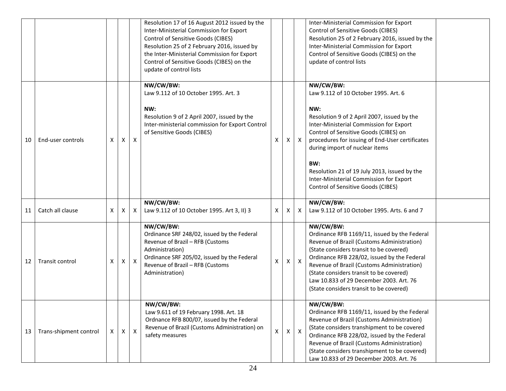|    |                        |   |   |              | Resolution 17 of 16 August 2012 issued by the<br>Inter-Ministerial Commission for Export<br>Control of Sensitive Goods (CIBES)<br>Resolution 25 of 2 February 2016, issued by<br>the Inter-Ministerial Commission for Export<br>Control of Sensitive Goods (CIBES) on the<br>update of control lists |              |              |                           | Inter-Ministerial Commission for Export<br>Control of Sensitive Goods (CIBES)<br>Resolution 25 of 2 February 2016, issued by the<br>Inter-Ministerial Commission for Export<br>Control of Sensitive Goods (CIBES) on the<br>update of control lists                                                                                                                                                                      |  |
|----|------------------------|---|---|--------------|------------------------------------------------------------------------------------------------------------------------------------------------------------------------------------------------------------------------------------------------------------------------------------------------------|--------------|--------------|---------------------------|--------------------------------------------------------------------------------------------------------------------------------------------------------------------------------------------------------------------------------------------------------------------------------------------------------------------------------------------------------------------------------------------------------------------------|--|
| 10 | End-user controls      | X | X | $\mathsf{x}$ | NW/CW/BW:<br>Law 9.112 of 10 October 1995. Art. 3<br>NW:<br>Resolution 9 of 2 April 2007, issued by the<br>Inter-ministerial commission for Export Control<br>of Sensitive Goods (CIBES)                                                                                                             | X            | X            | $\boldsymbol{\mathsf{X}}$ | NW/CW/BW:<br>Law 9.112 of 10 October 1995. Art. 6<br>NW:<br>Resolution 9 of 2 April 2007, issued by the<br>Inter-Ministerial Commission for Export<br>Control of Sensitive Goods (CIBES) on<br>procedures for issuing of End-User certificates<br>during import of nuclear items<br>BW:<br>Resolution 21 of 19 July 2013, issued by the<br>Inter-Ministerial Commission for Export<br>Control of Sensitive Goods (CIBES) |  |
| 11 | Catch all clause       | X | Χ | $\mathsf{X}$ | NW/CW/BW:<br>Law 9.112 of 10 October 1995. Art 3, II) 3                                                                                                                                                                                                                                              | $\mathsf{X}$ | X            | $\boldsymbol{\mathsf{X}}$ | NW/CW/BW:<br>Law 9.112 of 10 October 1995. Arts. 6 and 7                                                                                                                                                                                                                                                                                                                                                                 |  |
| 12 | Transit control        | X | х | $\mathsf{X}$ | NW/CW/BW:<br>Ordinance SRF 248/02, issued by the Federal<br>Revenue of Brazil - RFB (Customs<br>Administration)<br>Ordinance SRF 205/02, issued by the Federal<br>Revenue of Brazil - RFB (Customs<br>Administration)                                                                                | X            | $\mathsf{X}$ | $\mathsf{X}$              | NW/CW/BW:<br>Ordinance RFB 1169/11, issued by the Federal<br>Revenue of Brazil (Customs Administration)<br>(State considers transit to be covered)<br>Ordinance RFB 228/02, issued by the Federal<br>Revenue of Brazil (Customs Administration)<br>(State considers transit to be covered)<br>Law 10.833 of 29 December 2003. Art. 76<br>(State considers transit to be covered)                                         |  |
| 13 | Trans-shipment control | X | X | $\mathsf{X}$ | NW/CW/BW:<br>Law 9.611 of 19 February 1998. Art. 18<br>Ordnance RFB 800/07, issued by the Federal<br>Revenue of Brazil (Customs Administration) on<br>safety measures                                                                                                                                | $\mathsf{X}$ | $\mathsf{X}$ | $\mathsf{X}$              | NW/CW/BW:<br>Ordinance RFB 1169/11, issued by the Federal<br>Revenue of Brazil (Customs Administration)<br>(State considers transhipment to be covered<br>Ordinance RFB 228/02, issued by the Federal<br>Revenue of Brazil (Customs Administration)<br>(State considers transhipment to be covered)<br>Law 10.833 of 29 December 2003. Art. 76                                                                           |  |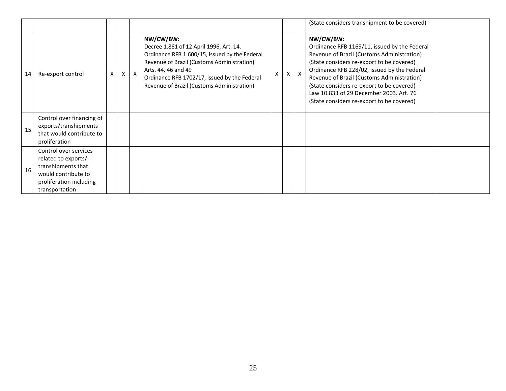|    |                                                                                                                                        |   |   |              |                                                                                                                                                                                                                                                                          |   |   |                           | (State considers transhipment to be covered)                                                                                                                                                                                                                                                                                                                                           |  |
|----|----------------------------------------------------------------------------------------------------------------------------------------|---|---|--------------|--------------------------------------------------------------------------------------------------------------------------------------------------------------------------------------------------------------------------------------------------------------------------|---|---|---------------------------|----------------------------------------------------------------------------------------------------------------------------------------------------------------------------------------------------------------------------------------------------------------------------------------------------------------------------------------------------------------------------------------|--|
| 14 | Re-export control                                                                                                                      | x | X | $\mathsf{X}$ | NW/CW/BW:<br>Decree 1.861 of 12 April 1996, Art. 14.<br>Ordinance RFB 1.600/15, issued by the Federal<br>Revenue of Brazil (Customs Administration)<br>Arts. 44, 46 and 49<br>Ordinance RFB 1702/17, issued by the Federal<br>Revenue of Brazil (Customs Administration) | X | X | $\boldsymbol{\mathsf{X}}$ | NW/CW/BW:<br>Ordinance RFB 1169/11, issued by the Federal<br>Revenue of Brazil (Customs Administration)<br>(State considers re-export to be covered)<br>Ordinance RFB 228/02, issued by the Federal<br>Revenue of Brazil (Customs Administration)<br>(State considers re-export to be covered)<br>Law 10.833 of 29 December 2003. Art. 76<br>(State considers re-export to be covered) |  |
| 15 | Control over financing of<br>exports/transhipments<br>that would contribute to<br>proliferation                                        |   |   |              |                                                                                                                                                                                                                                                                          |   |   |                           |                                                                                                                                                                                                                                                                                                                                                                                        |  |
| 16 | Control over services<br>related to exports/<br>transhipments that<br>would contribute to<br>proliferation including<br>transportation |   |   |              |                                                                                                                                                                                                                                                                          |   |   |                           |                                                                                                                                                                                                                                                                                                                                                                                        |  |